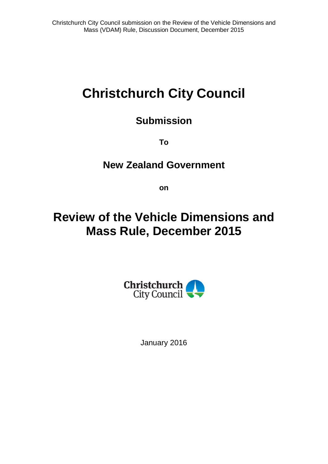# **Christchurch City Council**

### **Submission**

**To**

### **New Zealand Government**

**on**

## **Review of the Vehicle Dimensions and Mass Rule, December 2015**



January 2016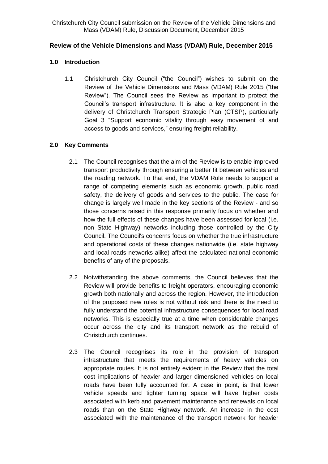#### **Review of the Vehicle Dimensions and Mass (VDAM) Rule, December 2015**

#### **1.0 Introduction**

1.1 Christchurch City Council ("the Council") wishes to submit on the Review of the Vehicle Dimensions and Mass (VDAM) Rule 2015 ("the Review"). The Council sees the Review as important to protect the Council's transport infrastructure. It is also a key component in the delivery of Christchurch Transport Strategic Plan (CTSP), particularly Goal 3 "Support economic vitality through easy movement of and access to goods and services," ensuring freight reliability.

#### **2.0 Key Comments**

- 2.1 The Council recognises that the aim of the Review is to enable improved transport productivity through ensuring a better fit between vehicles and the roading network. To that end, the VDAM Rule needs to support a range of competing elements such as economic growth, public road safety, the delivery of goods and services to the public. The case for change is largely well made in the key sections of the Review - and so those concerns raised in this response primarily focus on whether and how the full effects of these changes have been assessed for local (i.e. non State Highway) networks including those controlled by the City Council. The Council's concerns focus on whether the true infrastructure and operational costs of these changes nationwide (i.e. state highway and local roads networks alike) affect the calculated national economic benefits of any of the proposals.
- 2.2 Notwithstanding the above comments, the Council believes that the Review will provide benefits to freight operators, encouraging economic growth both nationally and across the region. However, the introduction of the proposed new rules is not without risk and there is the need to fully understand the potential infrastructure consequences for local road networks. This is especially true at a time when considerable changes occur across the city and its transport network as the rebuild of Christchurch continues.
- 2.3 The Council recognises its role in the provision of transport infrastructure that meets the requirements of heavy vehicles on appropriate routes. It is not entirely evident in the Review that the total cost implications of heavier and larger dimensioned vehicles on local roads have been fully accounted for. A case in point, is that lower vehicle speeds and tighter turning space will have higher costs associated with kerb and pavement maintenance and renewals on local roads than on the State Highway network. An increase in the cost associated with the maintenance of the transport network for heavier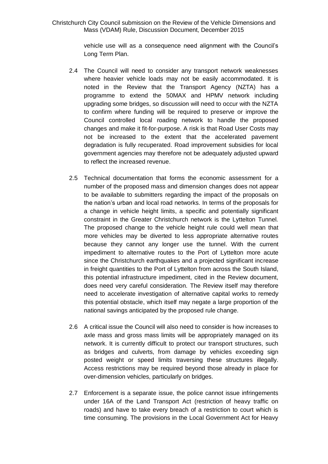vehicle use will as a consequence need alignment with the Council's Long Term Plan.

- 2.4 The Council will need to consider any transport network weaknesses where heavier vehicle loads may not be easily accommodated. It is noted in the Review that the Transport Agency (NZTA) has a programme to extend the 50MAX and HPMV network including upgrading some bridges, so discussion will need to occur with the NZTA to confirm where funding will be required to preserve or improve the Council controlled local roading network to handle the proposed changes and make it fit-for-purpose. A risk is that Road User Costs may not be increased to the extent that the accelerated pavement degradation is fully recuperated. Road improvement subsidies for local government agencies may therefore not be adequately adjusted upward to reflect the increased revenue.
- 2.5 Technical documentation that forms the economic assessment for a number of the proposed mass and dimension changes does not appear to be available to submitters regarding the impact of the proposals on the nation's urban and local road networks. In terms of the proposals for a change in vehicle height limits, a specific and potentially significant constraint in the Greater Christchurch network is the Lyttelton Tunnel. The proposed change to the vehicle height rule could well mean that more vehicles may be diverted to less appropriate alternative routes because they cannot any longer use the tunnel. With the current impediment to alternative routes to the Port of Lyttelton more acute since the Christchurch earthquakes and a projected significant increase in freight quantities to the Port of Lyttelton from across the South Island, this potential infrastructure impediment, cited in the Review document, does need very careful consideration. The Review itself may therefore need to accelerate investigation of alternative capital works to remedy this potential obstacle, which itself may negate a large proportion of the national savings anticipated by the proposed rule change.
- 2.6 A critical issue the Council will also need to consider is how increases to axle mass and gross mass limits will be appropriately managed on its network. It is currently difficult to protect our transport structures, such as bridges and culverts, from damage by vehicles exceeding sign posted weight or speed limits traversing these structures illegally. Access restrictions may be required beyond those already in place for over-dimension vehicles, particularly on bridges.
- 2.7 Enforcement is a separate issue, the police cannot issue infringements under 16A of the Land Transport Act (restriction of heavy traffic on roads) and have to take every breach of a restriction to court which is time consuming. The provisions in the Local Government Act for Heavy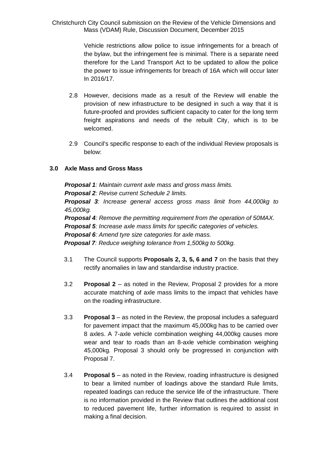> Vehicle restrictions allow police to issue infringements for a breach of the bylaw, but the infringement fee is minimal. There is a separate need therefore for the Land Transport Act to be updated to allow the police the power to issue infringements for breach of 16A which will occur later In 2016/17.

- 2.8 However, decisions made as a result of the Review will enable the provision of new infrastructure to be designed in such a way that it is future-proofed and provides sufficient capacity to cater for the long term freight aspirations and needs of the rebuilt City, which is to be welcomed.
- 2.9 Council's specific response to each of the individual Review proposals is below:

#### **3.0 Axle Mass and Gross Mass**

*Proposal 1: Maintain current axle mass and gross mass limits. Proposal 2: Revise current Schedule 2 limits. Proposal 3: Increase general access gross mass limit from 44,000kg to 45,000kg. Proposal 4: Remove the permitting requirement from the operation of 50MAX. Proposal 5: Increase axle mass limits for specific categories of vehicles. Proposal 6: Amend tyre size categories for axle mass. Proposal 7: Reduce weighing tolerance from 1,500kg to 500kg.*

- 3.1 The Council supports **Proposals 2, 3, 5, 6 and 7** on the basis that they rectify anomalies in law and standardise industry practice.
- 3.2 **Proposal 2** as noted in the Review, Proposal 2 provides for a more accurate matching of axle mass limits to the impact that vehicles have on the roading infrastructure.
- 3.3 **Proposal 3** as noted in the Review, the proposal includes a safeguard for pavement impact that the maximum 45,000kg has to be carried over 8 axles. A 7-axle vehicle combination weighing 44,000kg causes more wear and tear to roads than an 8-axle vehicle combination weighing 45,000kg. Proposal 3 should only be progressed in conjunction with Proposal 7.
- 3.4 **Proposal 5** as noted in the Review, roading infrastructure is designed to bear a limited number of loadings above the standard Rule limits, repeated loadings can reduce the service life of the infrastructure. There is no information provided in the Review that outlines the additional cost to reduced pavement life, further information is required to assist in making a final decision.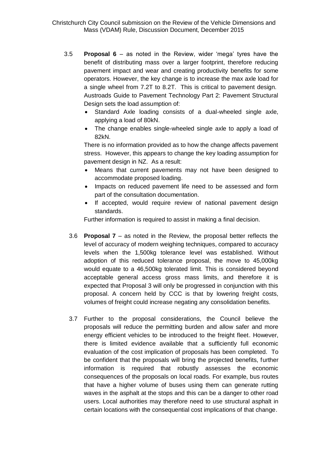- 3.5 **Proposal 6** as noted in the Review, wider 'mega' tyres have the benefit of distributing mass over a larger footprint, therefore reducing pavement impact and wear and creating productivity benefits for some operators. However, the key change is to increase the max axle load for a single wheel from 7.2T to 8.2T. This is critical to pavement design. Austroads Guide to Pavement Technology Part 2: Pavement Structural Design sets the load assumption of:
	- Standard Axle loading consists of a dual-wheeled single axle, applying a load of 80kN.
	- The change enables single-wheeled single axle to apply a load of 82kN.

There is no information provided as to how the change affects pavement stress. However, this appears to change the key loading assumption for pavement design in NZ. As a result:

- Means that current pavements may not have been designed to accommodate proposed loading.
- Impacts on reduced pavement life need to be assessed and form part of the consultation documentation.
- If accepted, would require review of national pavement design standards.

Further information is required to assist in making a final decision.

- 3.6 **Proposal 7** as noted in the Review, the proposal better reflects the level of accuracy of modern weighing techniques, compared to accuracy levels when the 1,500kg tolerance level was established. Without adoption of this reduced tolerance proposal, the move to 45,000kg would equate to a 46,500kg tolerated limit. This is considered beyond acceptable general access gross mass limits, and therefore it is expected that Proposal 3 will only be progressed in conjunction with this proposal. A concern held by CCC is that by lowering freight costs, volumes of freight could increase negating any consolidation benefits.
- 3.7 Further to the proposal considerations, the Council believe the proposals will reduce the permitting burden and allow safer and more energy efficient vehicles to be introduced to the freight fleet. However, there is limited evidence available that a sufficiently full economic evaluation of the cost implication of proposals has been completed. To be confident that the proposals will bring the projected benefits, further information is required that robustly assesses the economic consequences of the proposals on local roads. For example, bus routes that have a higher volume of buses using them can generate rutting waves in the asphalt at the stops and this can be a danger to other road users. Local authorities may therefore need to use structural asphalt in certain locations with the consequential cost implications of that change.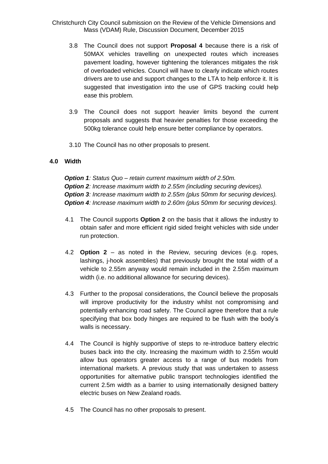- 3.8 The Council does not support **Proposal 4** because there is a risk of 50MAX vehicles travelling on unexpected routes which increases pavement loading, however tightening the tolerances mitigates the risk of overloaded vehicles. Council will have to clearly indicate which routes drivers are to use and support changes to the LTA to help enforce it. It is suggested that investigation into the use of GPS tracking could help ease this problem.
- 3.9 The Council does not support heavier limits beyond the current proposals and suggests that heavier penalties for those exceeding the 500kg tolerance could help ensure better compliance by operators.
- 3.10 The Council has no other proposals to present.

#### **4.0 Width**

*Option 1: Status Quo – retain current maximum width of 2.50m. Option 2: Increase maximum width to 2.55m (including securing devices). Option 3: Increase maximum width to 2.55m (plus 50mm for securing devices). Option 4: Increase maximum width to 2.60m (plus 50mm for securing devices).*

- 4.1 The Council supports **Option 2** on the basis that it allows the industry to obtain safer and more efficient rigid sided freight vehicles with side under run protection.
- 4.2 **Option 2** as noted in the Review, securing devices (e.g. ropes, lashings, j-hook assemblies) that previously brought the total width of a vehicle to 2.55m anyway would remain included in the 2.55m maximum width (i.e. no additional allowance for securing devices).
- 4.3 Further to the proposal considerations, the Council believe the proposals will improve productivity for the industry whilst not compromising and potentially enhancing road safety. The Council agree therefore that a rule specifying that box body hinges are required to be flush with the body's walls is necessary.
- 4.4 The Council is highly supportive of steps to re-introduce battery electric buses back into the city. Increasing the maximum width to 2.55m would allow bus operators greater access to a range of bus models from international markets. A previous study that was undertaken to assess opportunities for alternative public transport technologies identified the current 2.5m width as a barrier to using internationally designed battery electric buses on New Zealand roads.
- 4.5 The Council has no other proposals to present.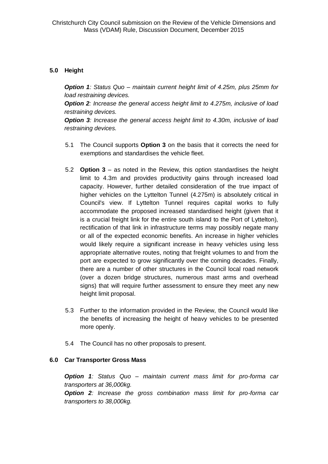#### **5.0 Height**

*Option 1: Status Quo – maintain current height limit of 4.25m, plus 25mm for load restraining devices.* 

*Option 2: Increase the general access height limit to 4.275m, inclusive of load restraining devices.* 

*Option 3: Increase the general access height limit to 4.30m, inclusive of load restraining devices.*

- 5.1 The Council supports **Option 3** on the basis that it corrects the need for exemptions and standardises the vehicle fleet.
- 5.2 **Option 3** as noted in the Review, this option standardises the height limit to 4.3m and provides productivity gains through increased load capacity. However, further detailed consideration of the true impact of higher vehicles on the Lyttelton Tunnel (4.275m) is absolutely critical in Council's view. If Lyttelton Tunnel requires capital works to fully accommodate the proposed increased standardised height (given that it is a crucial freight link for the entire south island to the Port of Lyttelton), rectification of that link in infrastructure terms may possibly negate many or all of the expected economic benefits. An increase in higher vehicles would likely require a significant increase in heavy vehicles using less appropriate alternative routes, noting that freight volumes to and from the port are expected to grow significantly over the coming decades. Finally, there are a number of other structures in the Council local road network (over a dozen bridge structures, numerous mast arms and overhead signs) that will require further assessment to ensure they meet any new height limit proposal.
- 5.3 Further to the information provided in the Review, the Council would like the benefits of increasing the height of heavy vehicles to be presented more openly.
- 5.4 The Council has no other proposals to present.

#### **6.0 Car Transporter Gross Mass**

*Option 1: Status Quo – maintain current mass limit for pro-forma car transporters at 36,000kg.* 

*Option 2: Increase the gross combination mass limit for pro-forma car transporters to 38,000kg.*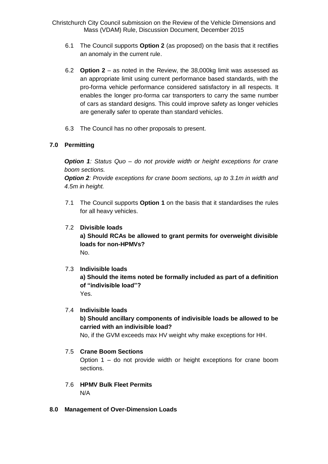- 6.1 The Council supports **Option 2** (as proposed) on the basis that it rectifies an anomaly in the current rule.
- 6.2 **Option 2** as noted in the Review, the 38,000kg limit was assessed as an appropriate limit using current performance based standards, with the pro-forma vehicle performance considered satisfactory in all respects. It enables the longer pro-forma car transporters to carry the same number of cars as standard designs. This could improve safety as longer vehicles are generally safer to operate than standard vehicles.
- 6.3 The Council has no other proposals to present.

#### **7.0 Permitting**

*Option 1: Status Quo – do not provide width or height exceptions for crane boom sections.* 

*Option 2: Provide exceptions for crane boom sections, up to 3.1m in width and 4.5m in height.*

7.1 The Council supports **Option 1** on the basis that it standardises the rules for all heavy vehicles.

#### 7.2 **Divisible loads**

**a) Should RCAs be allowed to grant permits for overweight divisible loads for non-HPMVs?** No.

#### 7.3 **Indivisible loads**

**a) Should the items noted be formally included as part of a definition of "indivisible load"?** Yes.

#### 7.4 **Indivisible loads**

**b) Should ancillary components of indivisible loads be allowed to be carried with an indivisible load?**

No, if the GVM exceeds max HV weight why make exceptions for HH.

#### 7.5 **Crane Boom Sections**

Option 1 – do not provide width or height exceptions for crane boom sections.

#### 7.6 **HPMV Bulk Fleet Permits**

N/A

**8.0 Management of Over-Dimension Loads**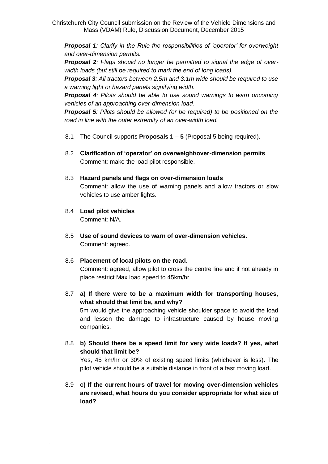*Proposal 1: Clarify in the Rule the responsibilities of 'operator' for overweight and over-dimension permits.*

*Proposal 2: Flags should no longer be permitted to signal the edge of overwidth loads (but still be required to mark the end of long loads).* 

*Proposal 3: All tractors between 2.5m and 3.1m wide should be required to use a warning light or hazard panels signifying width.* 

*Proposal 4: Pilots should be able to use sound warnings to warn oncoming vehicles of an approaching over-dimension load.* 

*Proposal 5: Pilots should be allowed (or be required) to be positioned on the road in line with the outer extremity of an over-width load.*

- 8.1 The Council supports **Proposals 1 – 5** (Proposal 5 being required).
- 8.2 **Clarification of 'operator' on overweight/over-dimension permits** Comment: make the load pilot responsible.

#### 8.3 **Hazard panels and flags on over-dimension loads**

Comment: allow the use of warning panels and allow tractors or slow vehicles to use amber lights.

- 8.4 **Load pilot vehicles** Comment: N/A.
- 8.5 **Use of sound devices to warn of over-dimension vehicles.** Comment: agreed.

### 8.6 **Placement of local pilots on the road.**

Comment: agreed, allow pilot to cross the centre line and if not already in place restrict Max load speed to 45km/hr.

- 8.7 **a) If there were to be a maximum width for transporting houses, what should that limit be, and why?** 5m would give the approaching vehicle shoulder space to avoid the load and lessen the damage to infrastructure caused by house moving companies.
- 8.8 **b) Should there be a speed limit for very wide loads? If yes, what should that limit be?**

Yes, 45 km/hr or 30% of existing speed limits (whichever is less). The pilot vehicle should be a suitable distance in front of a fast moving load.

8.9 **c) If the current hours of travel for moving over-dimension vehicles are revised, what hours do you consider appropriate for what size of load?**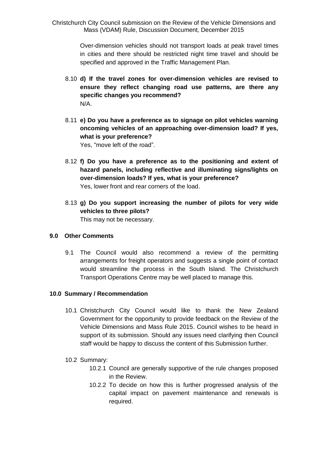> Over-dimension vehicles should not transport loads at peak travel times in cities and there should be restricted night time travel and should be specified and approved in the Traffic Management Plan.

- 8.10 **d) If the travel zones for over-dimension vehicles are revised to ensure they reflect changing road use patterns, are there any specific changes you recommend?** N/A.
- 8.11 **e) Do you have a preference as to signage on pilot vehicles warning oncoming vehicles of an approaching over-dimension load? If yes, what is your preference?** Yes, "move left of the road".
- 8.12 **f) Do you have a preference as to the positioning and extent of hazard panels, including reflective and illuminating signs/lights on over-dimension loads? If yes, what is your preference?** Yes, lower front and rear corners of the load.
- 8.13 **g) Do you support increasing the number of pilots for very wide vehicles to three pilots?** This may not be necessary.

#### **9.0 Other Comments**

9.1 The Council would also recommend a review of the permitting arrangements for freight operators and suggests a single point of contact would streamline the process in the South Island. The Christchurch Transport Operations Centre may be well placed to manage this.

#### **10.0 Summary / Recommendation**

- 10.1 Christchurch City Council would like to thank the New Zealand Government for the opportunity to provide feedback on the Review of the Vehicle Dimensions and Mass Rule 2015. Council wishes to be heard in support of its submission. Should any issues need clarifying then Council staff would be happy to discuss the content of this Submission further.
- 10.2 Summary:
	- 10.2.1 Council are generally supportive of the rule changes proposed in the Review.
	- 10.2.2 To decide on how this is further progressed analysis of the capital impact on pavement maintenance and renewals is required.